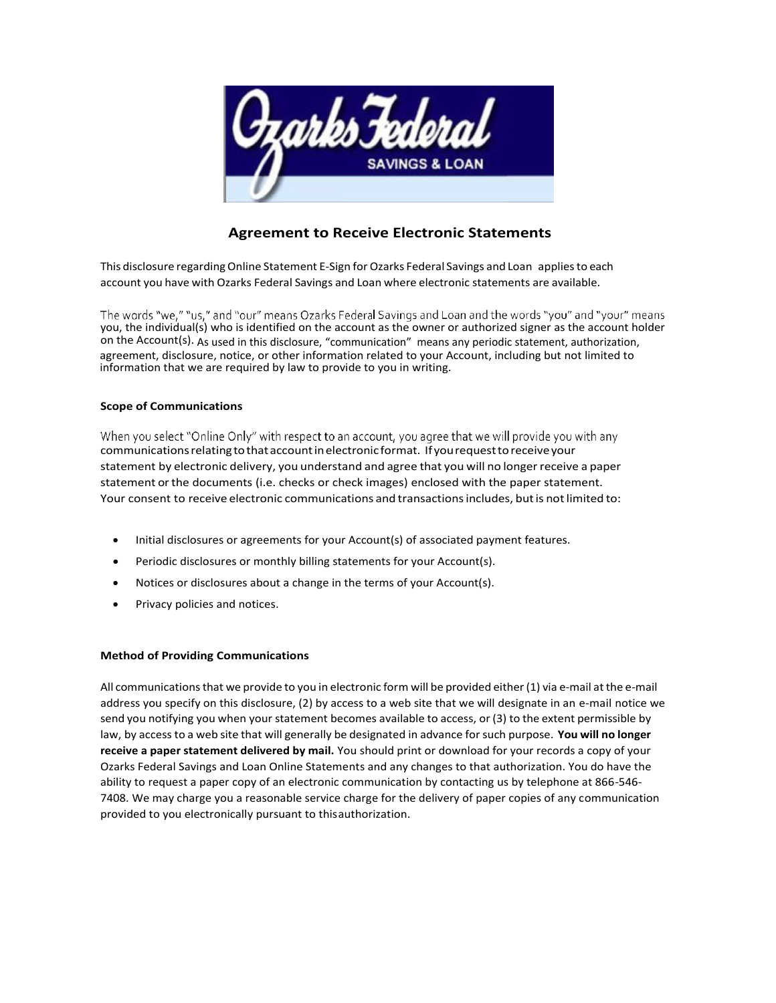

# **Agreement to Receive Electronic Statements**

This disclosure regardingOnline Statement E-Sign for Ozarks Federal Savings and Loan appliesto each account you have with Ozarks Federal Savings and Loan where electronic statements are available.

The words "we," "us," and "our" means Ozarks Federal Savings and Loan and the words "you" and "your" means you, the individual(s) who is identified on the account as the owner or authorized signer as the account holder on the Account(s). As used in this disclosure, "communication" means any periodic statement, authorization, agreement, disclosure, notice, or other information related to your Account, including but not limited to information that we are required by law to provide to you in writing.

# **Scope of Communications**

When you select "Online Only" with respect to an account, you agree that we will provide you with any communicationsrelatingtothataccountinelectronic format. Ifyourequesttoreceiveyour statement by electronic delivery, you understand and agree that you will no longerreceive a paper statement or the documents (i.e. checks or check images) enclosed with the paper statement. Your consent to receive electronic communications and transactions includes, but is not limited to:

- Initial disclosures or agreements for your Account(s) of associated payment features.
- Periodic disclosures or monthly billing statements for your Account(s).
- Notices or disclosures about a change in the terms of your Account(s).
- Privacy policies and notices.

# **Method of Providing Communications**

All communicationsthat we provide to you in electronic form will be provided either(1) via e-mail at the e-mail address you specify on this disclosure, (2) by access to a web site that we will designate in an e-mail notice we send you notifying you when your statement becomes available to access, or (3) to the extent permissible by law, by access to a web site that will generally be designated in advance forsuch purpose. **You will no longer receive a paper statement delivered by mail.** You should print or download for your records a copy of your Ozarks Federal Savings and Loan Online Statements and any changes to that authorization. You do have the ability to request a paper copy of an electronic communication by contacting us by telephone at 866-546- 7408. We may charge you a reasonable service charge for the delivery of paper copies of any communication provided to you electronically pursuant to thisauthorization.